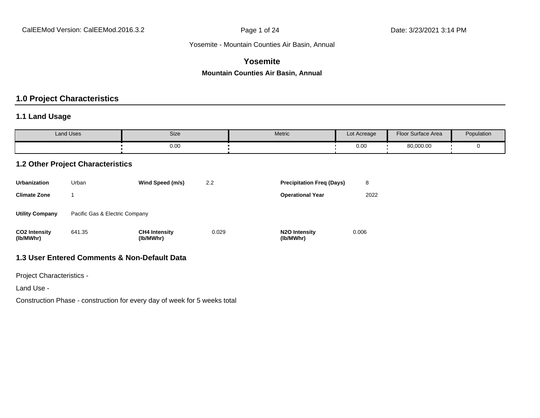#### **Yosemite**

#### **Mountain Counties Air Basin, Annual**

### **1.0 Project Characteristics**

#### **1.1 Land Usage**

| <b>Land Uses</b> | Size | <b>Metric</b> | Lot Acreage | Floor Surface Area | Population |
|------------------|------|---------------|-------------|--------------------|------------|
|                  | 0.00 |               | 0.00        | 80,000.00          |            |

#### **1.2 Other Project Characteristics**

| <b>Urbanization</b>               | Urban                          | Wind Speed (m/s)                  | 2.2   | <b>Precipitation Freg (Days)</b>        | 8     |
|-----------------------------------|--------------------------------|-----------------------------------|-------|-----------------------------------------|-------|
| <b>Climate Zone</b>               |                                |                                   |       | <b>Operational Year</b>                 | 2022  |
| <b>Utility Company</b>            | Pacific Gas & Electric Company |                                   |       |                                         |       |
| <b>CO2 Intensity</b><br>(lb/MWhr) | 641.35                         | <b>CH4 Intensity</b><br>(lb/MWhr) | 0.029 | N <sub>2</sub> O Intensity<br>(lb/MWhr) | 0.006 |

#### **1.3 User Entered Comments & Non-Default Data**

Project Characteristics -

Land Use -

Construction Phase - construction for every day of week for 5 weeks total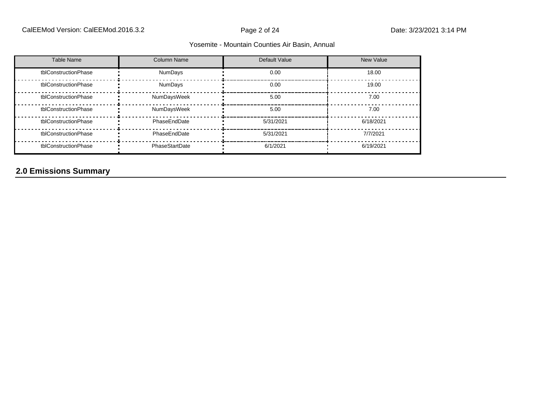| Table Name           | <b>Column Name</b> | Default Value | <b>New Value</b> |
|----------------------|--------------------|---------------|------------------|
| tblConstructionPhase | NumDays            | 0.00          | 18.00            |
| tblConstructionPhase | <b>NumDays</b>     | 0.00          | 19.00            |
| tblConstructionPhase | NumDaysWeek        | 5.00          | 7.00             |
| tblConstructionPhase | NumDaysWeek        | 5.00          | 7.00             |
| tblConstructionPhase | PhaseEndDate       | 5/31/2021     | 6/18/2021        |
| tblConstructionPhase | PhaseEndDate       | 5/31/2021     | 7/7/2021         |
| tblConstructionPhase | PhaseStartDate     | 6/1/2021      | 6/19/2021        |

# **2.0 Emissions Summary**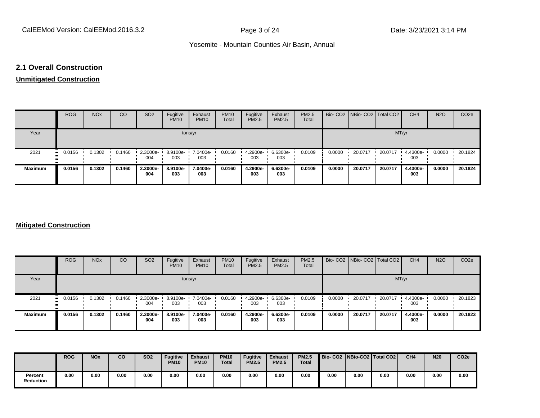#### **2.1 Overall Construction**

# **Unmitigated Construction**

|                | <b>ROG</b>                | <b>NO<sub>x</sub></b> | CO     | SO <sub>2</sub> | Fugitive<br><b>PM10</b> | Exhaust<br><b>PM10</b> | <b>PM10</b><br>Total | Fugitive<br>PM2.5 | Exhaust<br>PM2.5 | <b>PM2.5</b><br>Total |        | Bio- CO2   NBio- CO2   Total CO2 |         | CH <sub>4</sub> | <b>N2O</b> | CO <sub>2e</sub> |
|----------------|---------------------------|-----------------------|--------|-----------------|-------------------------|------------------------|----------------------|-------------------|------------------|-----------------------|--------|----------------------------------|---------|-----------------|------------|------------------|
| Year           |                           |                       |        |                 |                         | tons/yr                |                      |                   |                  |                       |        |                                  | MT/yr   |                 |            |                  |
| 2021           | $\blacksquare$ 0.0156<br> | 0.1302                | 0.1460 | 2.3000e-<br>004 | 8.9100e-<br>003         | 7.0400e-<br>003        | 0.0160               | 4.2900e-<br>003   | 6.6300e-<br>003  | 0.0109                | 0.0000 | 20.0717                          | 20.0717 | 4.4300e-<br>003 | 0.0000     | 20.1824          |
| <b>Maximum</b> | 0.0156                    | 0.1302                | 0.1460 | 2.3000e-<br>004 | 8.9100e-<br>003         | 7.0400e-<br>003        | 0.0160               | 4.2900e-<br>003   | 6.6300e-<br>003  | 0.0109                | 0.0000 | 20.0717                          | 20.0717 | 4.4300e-<br>003 | 0.0000     | 20.1824          |

#### **Mitigated Construction**

|                | <b>ROG</b>  | <b>NO<sub>x</sub></b> | CO     | SO <sub>2</sub> | Fugitive<br><b>PM10</b> | Exhaust<br><b>PM10</b> | <b>PM10</b><br>Total | Fugitive<br><b>PM2.5</b> | Exhaust<br><b>PM2.5</b> | <b>PM2.5</b><br>Total |        | Bio- CO2   NBio- CO2   Total CO2 |         | CH <sub>4</sub> | <b>N2O</b> | CO <sub>2</sub> e |
|----------------|-------------|-----------------------|--------|-----------------|-------------------------|------------------------|----------------------|--------------------------|-------------------------|-----------------------|--------|----------------------------------|---------|-----------------|------------|-------------------|
| Year           |             |                       |        |                 |                         | tons/yr                |                      |                          |                         |                       |        |                                  | MT/yr   |                 |            |                   |
| 2021           | 0.0156<br>. | 0.1302                | 0.1460 | 2.3000e-<br>004 | 8.9100e-<br>003         | 7.0400e-<br>003        | 0.0160               | 4.2900e-<br>003          | 6.6300e-<br>003         | 0.0109                | 0.0000 | 20.0717                          | 20.0717 | 4.4300e-<br>003 | 0.0000     | 20.1823           |
| <b>Maximum</b> | 0.0156      | 0.1302                | 0.1460 | 2.3000e-<br>004 | 8.9100e-<br>003         | 7.0400e-<br>003        | 0.0160               | 4.2900e-<br>003          | 6.6300e-<br>003         | 0.0109                | 0.0000 | 20.0717                          | 20.0717 | 4.4300e-<br>003 | 0.0000     | 20.1823           |

|                             | <b>ROG</b> | <b>NO<sub>x</sub></b> | CO   | <b>SO2</b> | <b>Fugitive</b><br><b>PM10</b> | <b>Exhaust</b><br><b>PM10</b> | <b>PM10</b><br><b>Total</b> | <b>Fugitive</b><br><b>PM2.5</b> | <b>Exhaust</b><br><b>PM2.5</b> | <b>PM2.5</b><br><b>Total</b> |      |      | Bio- CO2   NBio-CO2   Total CO2 | CH <sub>4</sub> | <b>N20</b> | CO <sub>2e</sub> |
|-----------------------------|------------|-----------------------|------|------------|--------------------------------|-------------------------------|-----------------------------|---------------------------------|--------------------------------|------------------------------|------|------|---------------------------------|-----------------|------------|------------------|
| Percent<br><b>Reduction</b> | 0.00       | 0.00                  | 0.00 | 0.00       | 0.00                           | 0.00                          | 0.00                        | 0.00                            | 0.00                           | 0.00                         | 0.00 | 0.00 | 0.00                            | 0.00            | 0.00       | 0.00             |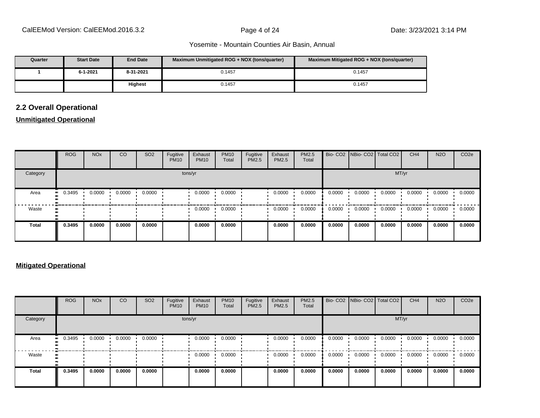| Quarter | <b>Start Date</b> | <b>End Date</b> | Maximum Unmitigated ROG + NOX (tons/guarter) | Maximum Mitigated ROG + NOX (tons/quarter) |
|---------|-------------------|-----------------|----------------------------------------------|--------------------------------------------|
|         | 6-1-2021          | 8-31-2021       | 0.1457                                       | 0.1457                                     |
|         |                   | <b>Highest</b>  | 0.1457                                       | 0.1457                                     |

# **2.2 Overall Operational**

#### **Unmitigated Operational**

|              | <b>ROG</b>       | <b>NO<sub>x</sub></b> | CO     | SO <sub>2</sub> | Fugitive<br><b>PM10</b> | Exhaust<br><b>PM10</b> | <b>PM10</b><br>Total | Fugitive<br>PM2.5 | Exhaust<br>PM2.5 | PM2.5<br>Total |        | Bio- CO2   NBio- CO2   Total CO2 |        | CH <sub>4</sub> | <b>N2O</b> | CO <sub>2e</sub> |
|--------------|------------------|-----------------------|--------|-----------------|-------------------------|------------------------|----------------------|-------------------|------------------|----------------|--------|----------------------------------|--------|-----------------|------------|------------------|
| Category     |                  |                       |        |                 |                         | tons/yr                |                      |                   |                  |                |        |                                  | MT/yr  |                 |            |                  |
| Area         | 0.3495<br>       | 0.0000                | 0.0000 | 0.0000          |                         | 0.0000                 | 0.0000               |                   | 0.0000           | 0.0000         | 0.0000 | 0.0000                           | 0.0000 | 0.0000          | 0.0000     | 0.0000           |
| Waste        | $\bullet\bullet$ |                       |        |                 |                         | 0.0000                 | 0.0000               |                   | 0.0000           | 0.0000         | 0.0000 | 0.0000                           | 0.0000 | 0.0000          | 0.0000     | 0.0000           |
| <b>Total</b> | 0.3495           | 0.0000                | 0.0000 | 0.0000          |                         | 0.0000                 | 0.0000               |                   | 0.0000           | 0.0000         | 0.0000 | 0.0000                           | 0.0000 | 0.0000          | 0.0000     | 0.0000           |

#### **Mitigated Operational**

|              | <b>ROG</b> | <b>NO<sub>x</sub></b> | CO     | SO <sub>2</sub> | Fugitive<br><b>PM10</b> | Exhaust<br><b>PM10</b> | <b>PM10</b><br>Total | Fugitive<br>PM2.5 | Exhaust<br>PM2.5 | PM2.5<br>Total |        | Bio- CO2   NBio- CO2   Total CO2 |        | CH <sub>4</sub> | <b>N2O</b> | CO <sub>2</sub> e |
|--------------|------------|-----------------------|--------|-----------------|-------------------------|------------------------|----------------------|-------------------|------------------|----------------|--------|----------------------------------|--------|-----------------|------------|-------------------|
| Category     |            |                       |        |                 |                         | tons/yr                |                      |                   |                  |                |        |                                  | MT/yr  |                 |            |                   |
| Area         | 0.3495     | 0.0000                | 0.0000 | 0.0000          |                         | 0.0000                 | 0.0000               |                   | 0.0000           | 0.0000         | 0.0000 | 0.0000                           | 0.0000 | 0.0000          | 0.0000     | 0.0000            |
| Waste        |            |                       |        |                 |                         | 0.0000                 | 0.0000               |                   | 0.0000           | 0.0000         | 0.0000 | 0.0000                           | 0.0000 | 0.0000          | 0.0000     | 0.0000            |
| <b>Total</b> | 0.3495     | 0.0000                | 0.0000 | 0.0000          |                         | 0.0000                 | 0.0000               |                   | 0.0000           | 0.0000         | 0.0000 | 0.0000                           | 0.0000 | 0.0000          | 0.0000     | 0.0000            |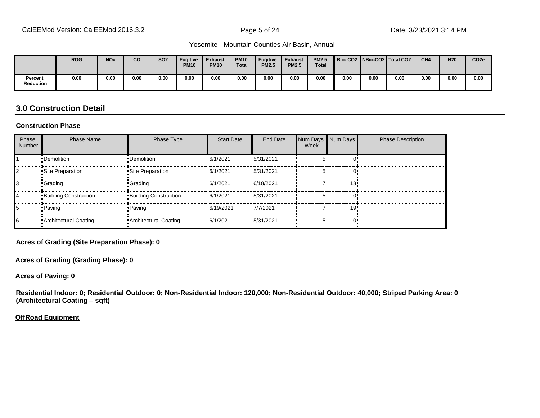|                      | <b>ROG</b> | <b>NO<sub>x</sub></b> | <b>CO</b> | <b>SO2</b> | <b>Fugitive</b><br><b>PM10</b> | <b>Exhaust</b><br><b>PM10</b> | <b>PM10</b><br><b>Total</b> | <b>Fugitive</b><br><b>PM2.5</b> | <b>Exhaust</b><br><b>PM2.5</b> | <b>PM2.5</b><br><b>Total</b> | Bio-CO2   NBio-CO2   Total CO2 |      |      | CH <sub>4</sub> | <b>N20</b> | CO <sub>2e</sub> |
|----------------------|------------|-----------------------|-----------|------------|--------------------------------|-------------------------------|-----------------------------|---------------------------------|--------------------------------|------------------------------|--------------------------------|------|------|-----------------|------------|------------------|
| Percent<br>Reduction | 0.00       | 0.00                  | 0.00      | 0.00       | 0.00                           | 0.00                          | 0.00                        | 0.00                            | 0.00                           | 0.00                         | 0.00                           | 0.00 | 0.00 | 0.00            | 0.00       | 0.00             |

### **3.0 Construction Detail**

#### **Construction Phase**

| Phase<br>Number | <b>Phase Name</b>            | Phase Type                   | <b>Start Date</b> | End Date   | Num Days Num Days<br>Week |     | <b>Phase Description</b> |
|-----------------|------------------------------|------------------------------|-------------------|------------|---------------------------|-----|--------------------------|
|                 | •Demolition                  | •Demolition                  | 16/1/2021         | !5/31/2021 |                           |     |                          |
|                 | Site Preparation             | Site Preparation             | 16/1/2021         | !5/31/2021 |                           |     |                          |
|                 | •Grading                     | <b>Grading</b>               | 16/1/2021         | !6/18/2021 |                           | 18  |                          |
| 14              | <b>Building Construction</b> | <b>Building Construction</b> | 16/1/2021         | !5/31/2021 |                           |     |                          |
| 15              | • Paving                     | <b>Paving</b>                | 6/19/2021         | !7/7/2021  |                           | 19' |                          |
| 16              | Architectural Coating        | <b>Architectural Coating</b> | .6/1/2021         | '5/31/2021 | 5'                        |     |                          |

**Acres of Grading (Site Preparation Phase): 0**

**Acres of Grading (Grading Phase): 0**

**Acres of Paving: 0**

**Residential Indoor: 0; Residential Outdoor: 0; Non-Residential Indoor: 120,000; Non-Residential Outdoor: 40,000; Striped Parking Area: 0 (Architectural Coating - sqft)** 

**OffRoad Equipment**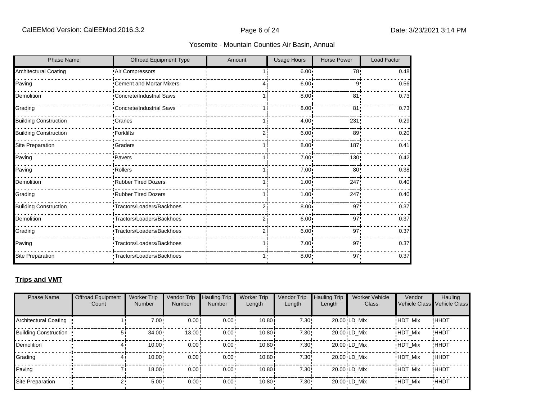| <b>Phase Name</b>            | Offroad Equipment Type     | Amount | Usage Hours       | <b>Horse Power</b> | Load Factor |
|------------------------------|----------------------------|--------|-------------------|--------------------|-------------|
| <b>Architectural Coating</b> | Air Compressors            |        | 6.00 <sup>1</sup> | 78!                | 0.48        |
| Paving                       | Cement and Mortar Mixers   |        | 6.00 <sub>1</sub> | 9'                 | 0.56        |
| Demolition                   | Concrete/Industrial Saws   |        | 8.00              | 81                 | 0.73        |
| Grading                      | "Concrete/Industrial Saws  |        | 8.00              | 81                 | 0.73        |
| <b>Building Construction</b> | Cranes                     |        | 4.00 <sup>1</sup> | 231                | 0.29        |
| <b>Building Construction</b> | -Forklifts                 |        | 6.00              | 89!                | 0.20        |
| Site Preparation             | <b>Graders</b>             |        | 8.00              | 187'               | 0.41        |
| Paving                       | ·Pavers                    |        | 7.00              | 130                | 0.42        |
| Paving                       | Rollers                    |        | 7.00              | 80 <sub>1</sub>    | 0.38        |
| Demolition                   | Rubber Tired Dozers        |        | 1.00              | 247                | 0.40        |
| Grading                      | Rubber Tired Dozers        |        | 1.00              | 247                | 0.40        |
| <b>Building Construction</b> | Tractors/Loaders/Backhoes  | 21     | 8.00 <sub>1</sub> | 97'                | 0.37        |
| Demolition                   | Tractors/Loaders/Backhoes  |        | 6.00              | 97'                | 0.37        |
| Grading                      | Tractors/Loaders/Backhoes  |        | 6.00              | 97 <sub>1</sub>    | 0.37        |
| Paving                       | •Tractors/Loaders/Backhoes |        | $7.00 \cdot$      | 97 <sub>1</sub>    | 0.37        |
| Site Preparation             | Tractors/Loaders/Backhoes  |        | $8.00 -$          | $97 -$             | 0.37        |

# **Trips and VMT**

| <b>Phase Name</b>            | <b>Offroad Equipment</b><br>Count | <b>Worker Trip</b><br><b>Number</b> | Vendor Trip<br>Number | <b>Hauling Trip</b><br><b>Number</b> | <b>Worker Trip</b><br>Length | Vendor Trip<br>Length | <b>Hauling Trip</b><br>Length | <b>Worker Vehicle</b><br><b>Class</b> | Vendor<br><b>Vehicle Class</b> | Hauling<br><b>Vehicle Class</b> |
|------------------------------|-----------------------------------|-------------------------------------|-----------------------|--------------------------------------|------------------------------|-----------------------|-------------------------------|---------------------------------------|--------------------------------|---------------------------------|
| <b>Architectural Coating</b> |                                   | $7.00 -$                            | 0.00!                 | $0.00 \cdot$                         | 10.80i                       | 7.30!                 |                               | 20.00 LD Mix                          | <b>HDT Mix</b>                 | !HHDT                           |
| <b>Building Construction</b> |                                   | 34.00                               | 13.00                 | $0.00 \cdot$                         | 10.80i                       | 7.30!                 |                               | 20.00 LD Mix                          | <b>HDT Mix</b>                 | !HHDT                           |
| Demolition                   |                                   | 10.00                               | 0.00!                 | $0.00 \cdot$                         | 10.80i                       | 7.30!                 |                               | 20.00 LD Mix                          | <b>HDT Mix</b>                 | !HHDT                           |
| Grading                      |                                   | 10.00 <sub>1</sub>                  | 0.00!                 | $0.00 \cdot$                         | 10.80i                       | 7.30!                 |                               | 20.00 LD Mix                          | <b>HDT Mix</b>                 | !HHDT                           |
| Paving                       |                                   | 18.00                               | 0.00!                 | $0.00 \cdot$                         | 10.80i                       | 7.30!                 |                               | 20.00 LD Mix                          | <b>HDT Mix</b>                 | !HHDT                           |
| Site Preparation             |                                   | 5.00 <sub>1</sub>                   | $0.00 \cdot$          | $0.00 \cdot$                         | $10.80 -$                    | 7.30:                 |                               | 20.00 LD Mix                          | <b>HDT Mix</b>                 | <b>HHDT</b>                     |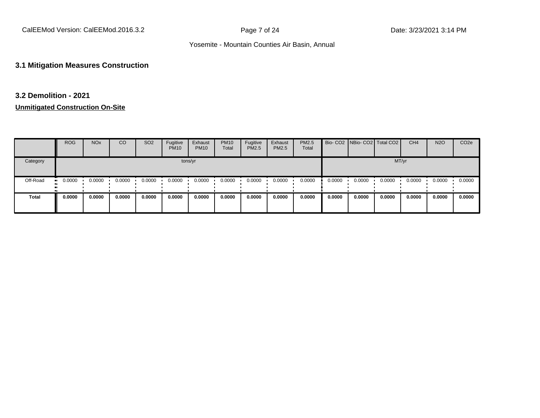#### **3.1 Mitigation Measures Construction**

# **3.2 Demolition - 2021**

|          | <b>ROG</b>    | <b>NO<sub>x</sub></b> | CO     | SO <sub>2</sub> | Fugitive<br><b>PM10</b> | Exhaust<br><b>PM10</b> | <b>PM10</b><br>Total | Fugitive<br><b>PM2.5</b> | Exhaust<br>PM2.5 | PM2.5<br>Total |        | Bio- CO2   NBio- CO2   Total CO2 |        | CH <sub>4</sub> | <b>N2O</b> | CO <sub>2e</sub> |
|----------|---------------|-----------------------|--------|-----------------|-------------------------|------------------------|----------------------|--------------------------|------------------|----------------|--------|----------------------------------|--------|-----------------|------------|------------------|
| Category |               |                       |        |                 |                         | tons/yr                |                      |                          |                  |                |        |                                  | MT/yr  |                 |            |                  |
| Off-Road | 0.0000<br>. . | 0.0000                | 0.0000 | 0.0000          | 0.0000                  | 0.0000                 | 0.0000               | 0.0000                   | 0.0000           | 0.0000         | 0.0000 | 0.0000                           | 0.0000 | 0.0000          | 0.0000     | 0.0000           |
| Total    | 0.0000        | 0.0000                | 0.0000 | 0.0000          | 0.0000                  | 0.0000                 | 0.0000               | 0.0000                   | 0.0000           | 0.0000         | 0.0000 | 0.0000                           | 0.0000 | 0.0000          | 0.0000     | 0.0000           |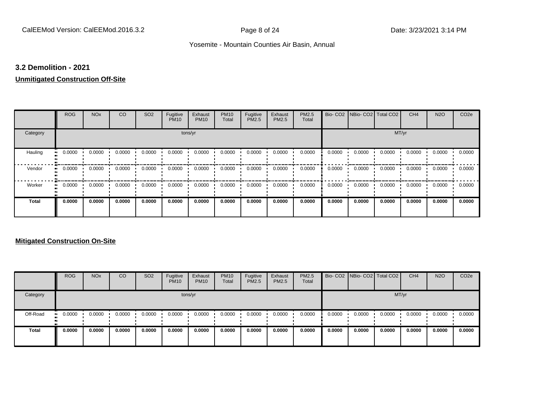#### **3.2 Demolition - 2021**

# **Unmitigated Construction Off-Site**

|                     | <b>ROG</b> | <b>NO<sub>x</sub></b> | CO     | SO <sub>2</sub> | Fugitive<br><b>PM10</b> | Exhaust<br><b>PM10</b> | <b>PM10</b><br>Total | Fugitive<br>PM2.5 | Exhaust<br>PM2.5 | PM2.5<br>Total | Bio-CO <sub>2</sub> | NBio- CO2   Total CO2 |        | CH <sub>4</sub> | <b>N2O</b> | CO <sub>2e</sub> |
|---------------------|------------|-----------------------|--------|-----------------|-------------------------|------------------------|----------------------|-------------------|------------------|----------------|---------------------|-----------------------|--------|-----------------|------------|------------------|
| Category            |            |                       |        |                 | tons/yr                 |                        |                      |                   |                  |                |                     |                       | MT/yr  |                 |            |                  |
| Hauling             | 0.0000     | 0.0000                | 0.0000 | 0.0000          | 0.0000                  | 0.0000                 | 0.0000               | 0.0000            | 0.0000           | 0.0000         | 0.0000              | 0.0000                | 0.0000 | 0.0000          | 0.0000     | 0.0000           |
| Vendor              | 0.0000     | 0.0000                | 0.0000 | 0.0000          | 0.0000                  | 0.0000                 | 0.0000               | 0.0000            | 0.0000           | 0.0000         | 0.0000              | 0.0000                | 0.0000 | 0.0000          | 0.0000     | 0.0000           |
| Worker<br>$\bullet$ | 0.0000     | 0.0000                | 0.0000 | 0.0000          | 0.0000                  | 0.0000                 | 0.0000               | 0.0000            | 0.0000           | 0.0000         | 0.0000              | 0.0000                | 0.0000 | 0.0000          | 0.0000     | 0.0000           |
| <b>Total</b>        | 0.0000     | 0.0000                | 0.0000 | 0.0000          | 0.0000                  | 0.0000                 | 0.0000               | 0.0000            | 0.0000           | 0.0000         | 0.0000              | 0.0000                | 0.0000 | 0.0000          | 0.0000     | 0.0000           |

|              | <b>ROG</b>           | <b>NO<sub>x</sub></b> | CO     | SO <sub>2</sub> | Fugitive<br><b>PM10</b> | Exhaust<br><b>PM10</b> | <b>PM10</b><br>Total | Fugitive<br><b>PM2.5</b> | Exhaust<br><b>PM2.5</b> | <b>PM2.5</b><br>Total |        | Bio- CO2 NBio- CO2 Total CO2 |        | CH <sub>4</sub> | <b>N2O</b> | CO <sub>2e</sub> |
|--------------|----------------------|-----------------------|--------|-----------------|-------------------------|------------------------|----------------------|--------------------------|-------------------------|-----------------------|--------|------------------------------|--------|-----------------|------------|------------------|
| Category     |                      |                       |        |                 |                         | tons/yr                |                      |                          |                         |                       |        |                              |        | MT/yr           |            |                  |
| Off-Road     | 0.0000<br><b>ALC</b> | 0.0000                | 0.0000 | 0.0000          | 0.0000                  | 0.0000                 | 0.0000               | 0.0000                   | 0.0000                  | 0.0000                | 0.0000 | 0.0000                       | 0.0000 | 0.0000          | 0.0000     | 0.0000           |
| <b>Total</b> | 0.0000               | 0.0000                | 0.0000 | 0.0000          | 0.0000                  | 0.0000                 | 0.0000               | 0.0000                   | 0.0000                  | 0.0000                | 0.0000 | 0.0000                       | 0.0000 | 0.0000          | 0.0000     | 0.0000           |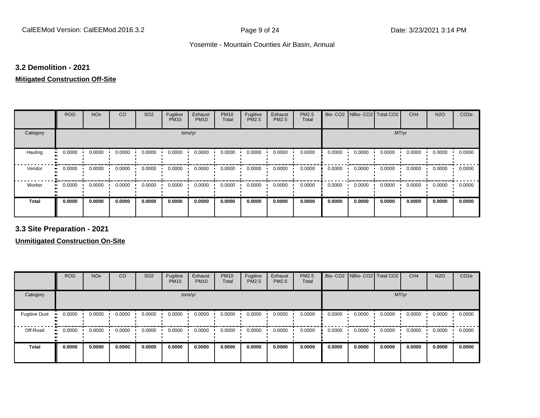#### **3.2 Demolition - 2021**

# **Mitigated Construction Off-Site**

|              | <b>ROG</b>   | <b>NO<sub>x</sub></b> | CO     | SO <sub>2</sub> | Fugitive<br><b>PM10</b> | Exhaust<br><b>PM10</b> | <b>PM10</b><br>Total | Fugitive<br>PM2.5 | Exhaust<br>PM2.5 | PM2.5<br>Total | Bio-CO <sub>2</sub> | NBio- CO2   Total CO2 |        | CH <sub>4</sub> | <b>N2O</b> | CO <sub>2e</sub> |
|--------------|--------------|-----------------------|--------|-----------------|-------------------------|------------------------|----------------------|-------------------|------------------|----------------|---------------------|-----------------------|--------|-----------------|------------|------------------|
| Category     |              |                       |        |                 | tons/yr                 |                        |                      |                   |                  |                |                     |                       | MT/yr  |                 |            |                  |
| Hauling      | 0.0000<br>ш. | 0.0000                | 0.0000 | 0.0000          | 0.0000                  | 0.0000                 | 0.0000               | 0.0000            | 0.0000           | 0.0000         | 0.0000              | 0.0000                | 0.0000 | 0.0000          | 0.0000     | 0.0000           |
| Vendor       | 0.0000<br>ш. | 0.0000                | 0.0000 | 0.0000          | 0.0000                  | 0.0000                 | 0.0000               | 0.0000            | 0.0000           | 0.0000         | 0.0000              | 0.0000                | 0.0000 | 0.0000          | 0.0000     | 0.0000           |
| Worker<br>ш. | 0.0000       | 0.0000                | 0.0000 | 0.0000          | 0.0000                  | 0.0000                 | 0.0000               | 0.0000            | 0.0000           | 0.0000         | 0.0000              | 0.0000                | 0.0000 | 0.0000          | 0.0000     | 0.0000           |
| <b>Total</b> | 0.0000       | 0.0000                | 0.0000 | 0.0000          | 0.0000                  | 0.0000                 | 0.0000               | 0.0000            | 0.0000           | 0.0000         | 0.0000              | 0.0000                | 0.0000 | 0.0000          | 0.0000     | 0.0000           |

**3.3 Site Preparation - 2021**

|                       | <b>ROG</b> | <b>NO<sub>x</sub></b> | CO     | SO <sub>2</sub> | Fugitive<br><b>PM10</b> | Exhaust<br><b>PM10</b> | <b>PM10</b><br>Total | Fugitive<br><b>PM2.5</b> | Exhaust<br><b>PM2.5</b> | <b>PM2.5</b><br>Total |        | Bio- CO2   NBio- CO2   Total CO2 |        | CH <sub>4</sub> | <b>N2O</b> | CO <sub>2e</sub> |
|-----------------------|------------|-----------------------|--------|-----------------|-------------------------|------------------------|----------------------|--------------------------|-------------------------|-----------------------|--------|----------------------------------|--------|-----------------|------------|------------------|
| Category              |            |                       |        |                 | tons/yr                 |                        |                      |                          |                         |                       |        |                                  | MT/yr  |                 |            |                  |
| <b>Fugitive Dust</b>  | 0.0000     | 0.0000                | 0.0000 | 0.0000          | 0.0000                  | 0.0000                 | 0.0000               | 0.0000                   | 0.0000                  | 0.0000                | 0.0000 | 0.0000                           | 0.0000 | 0.0000          | 0.0000     | 0.0000           |
| Off-Road<br>$\bullet$ | 0.0000     | 0.0000                | 0.0000 | 0.0000          | 0.0000                  | 0.0000                 | 0.0000               | 0.0000                   | 0.0000                  | 0.0000                | 0.0000 | 0.0000                           | 0.0000 | 0.0000          | 0.0000     | 0.0000           |
| <b>Total</b>          | 0.0000     | 0.0000                | 0.0000 | 0.0000          | 0.0000                  | 0.0000                 | 0.0000               | 0.0000                   | 0.0000                  | 0.0000                | 0.0000 | 0.0000                           | 0.0000 | 0.0000          | 0.0000     | 0.0000           |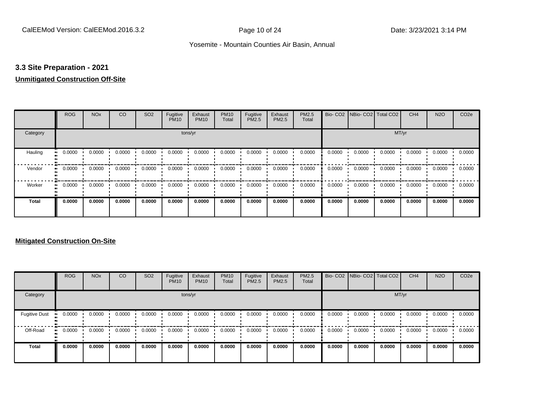### **3.3 Site Preparation - 2021**

## **Unmitigated Construction Off-Site**

|                     | <b>ROG</b> | <b>NO<sub>x</sub></b> | CO     | SO <sub>2</sub> | Fugitive<br><b>PM10</b> | Exhaust<br><b>PM10</b> | <b>PM10</b><br>Total | Fugitive<br>PM2.5 | Exhaust<br>PM2.5 | PM2.5<br>Total | Bio-CO <sub>2</sub> | NBio- CO2   Total CO2 |        | CH <sub>4</sub> | <b>N2O</b> | CO <sub>2e</sub> |
|---------------------|------------|-----------------------|--------|-----------------|-------------------------|------------------------|----------------------|-------------------|------------------|----------------|---------------------|-----------------------|--------|-----------------|------------|------------------|
| Category            |            |                       |        |                 | tons/yr                 |                        |                      |                   |                  |                |                     |                       | MT/yr  |                 |            |                  |
| Hauling             | 0.0000     | 0.0000                | 0.0000 | 0.0000          | 0.0000                  | 0.0000                 | 0.0000               | 0.0000            | 0.0000           | 0.0000         | 0.0000              | 0.0000                | 0.0000 | 0.0000          | 0.0000     | 0.0000           |
| Vendor              | 0.0000     | 0.0000                | 0.0000 | 0.0000          | 0.0000                  | 0.0000                 | 0.0000               | 0.0000            | 0.0000           | 0.0000         | 0.0000              | 0.0000                | 0.0000 | 0.0000          | 0.0000     | 0.0000           |
| Worker<br>$\bullet$ | 0.0000     | 0.0000                | 0.0000 | 0.0000          | 0.0000                  | 0.0000                 | 0.0000               | 0.0000            | 0.0000           | 0.0000         | 0.0000              | 0.0000                | 0.0000 | 0.0000          | 0.0000     | 0.0000           |
| <b>Total</b>        | 0.0000     | 0.0000                | 0.0000 | 0.0000          | 0.0000                  | 0.0000                 | 0.0000               | 0.0000            | 0.0000           | 0.0000         | 0.0000              | 0.0000                | 0.0000 | 0.0000          | 0.0000     | 0.0000           |

|                      | <b>ROG</b>   | <b>NO<sub>x</sub></b> | CO     | SO <sub>2</sub> | Fugitive<br><b>PM10</b> | Exhaust<br><b>PM10</b> | <b>PM10</b><br>Total | Fugitive<br>PM2.5 | Exhaust<br><b>PM2.5</b> | PM2.5<br>Total |        | Bio- CO2   NBio- CO2   Total CO2 |        | CH <sub>4</sub> | <b>N2O</b> | CO <sub>2e</sub> |
|----------------------|--------------|-----------------------|--------|-----------------|-------------------------|------------------------|----------------------|-------------------|-------------------------|----------------|--------|----------------------------------|--------|-----------------|------------|------------------|
| Category             |              |                       |        |                 |                         | tons/yr                |                      |                   |                         |                |        |                                  | MT/yr  |                 |            |                  |
| <b>Fugitive Dust</b> | 0.0000       | 0.0000                | 0.0000 | 0.0000          | 0.0000                  | 0.0000                 | 0.0000               | 0.0000            | 0.0000                  | 0.0000         | 0.0000 | 0.0000                           | 0.0000 | 0.0000          | 0.0000     | 0.0000           |
| Off-Road             | 0.0000<br>ш. | 0.0000                | 0.0000 | 0.0000          | 0.0000                  | 0.0000                 | 0.0000               | 0.0000            | 0.0000                  | 0.0000         | 0.0000 | 0.0000                           | 0.0000 | 0.0000          | 0.0000     | 0.0000           |
| <b>Total</b>         | 0.0000       | 0.0000                | 0.0000 | 0.0000          | 0.0000                  | 0.0000                 | 0.0000               | 0.0000            | 0.0000                  | 0.0000         | 0.0000 | 0.0000                           | 0.0000 | 0.0000          | 0.0000     | 0.0000           |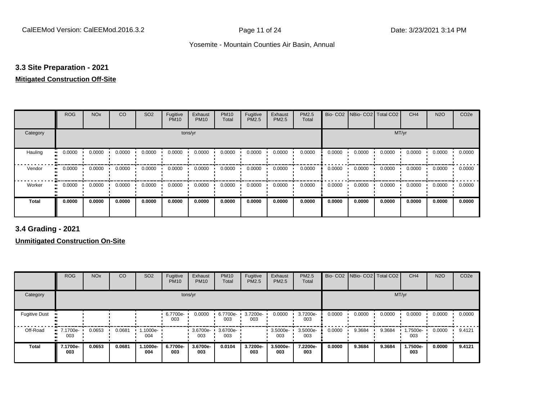# **3.3 Site Preparation - 2021**

#### **Mitigated Construction Off-Site**

|          | <b>ROG</b> | <b>NO<sub>x</sub></b> | CO     | SO <sub>2</sub> | Fugitive<br><b>PM10</b> | Exhaust<br><b>PM10</b> | <b>PM10</b><br>Total | Fugitive<br>PM2.5 | Exhaust<br>PM2.5 | PM2.5<br>Total | Bio-CO <sub>2</sub> | NBio- CO2   Total CO2 |        | CH <sub>4</sub> | <b>N2O</b> | CO <sub>2e</sub> |
|----------|------------|-----------------------|--------|-----------------|-------------------------|------------------------|----------------------|-------------------|------------------|----------------|---------------------|-----------------------|--------|-----------------|------------|------------------|
| Category |            |                       |        |                 | tons/yr                 |                        |                      |                   |                  |                |                     |                       | MT/yr  |                 |            |                  |
| Hauling  | 0.0000     | 0.0000                | 0.0000 | 0.0000          | 0.0000                  | 0.0000                 | 0.0000               | 0.0000            | 0.0000           | 0.0000         | 0.0000              | 0.0000                | 0.0000 | 0.0000          | 0.0000     | 0.0000           |
| Vendor   | 0.0000     | 0.0000                | 0.0000 | 0.0000          | 0.0000                  | 0.0000                 | 0.0000               | 0.0000            | 0.0000           | 0.0000         | 0.0000              | 0.0000                | 0.0000 | 0.0000          | 0.0000     | 0.0000           |
| Worker   | 0.0000     | 0.0000                | 0.0000 | 0.0000          | 0.0000                  | 0.0000                 | 0.0000               | 0.0000            | 0.0000           | 0.0000         | 0.0000              | 0.0000                | 0.0000 | 0.0000          | 0.0000     | 0.0000           |
| Total    | 0.0000     | 0.0000                | 0.0000 | 0.0000          | 0.0000                  | 0.0000                 | 0.0000               | 0.0000            | 0.0000           | 0.0000         | 0.0000              | 0.0000                | 0.0000 | 0.0000          | 0.0000     | 0.0000           |

**3.4 Grading - 2021**

|                      | <b>ROG</b>                         | <b>NO<sub>x</sub></b> | CO     | SO <sub>2</sub> | Fugitive<br><b>PM10</b> | Exhaust<br><b>PM10</b> | <b>PM10</b><br>Total | Fugitive<br><b>PM2.5</b> | Exhaust<br>PM2.5 | PM2.5<br>Total  |        | Bio- CO2   NBio- CO2   Total CO2 |        | CH <sub>4</sub> | <b>N2O</b> | CO <sub>2e</sub> |
|----------------------|------------------------------------|-----------------------|--------|-----------------|-------------------------|------------------------|----------------------|--------------------------|------------------|-----------------|--------|----------------------------------|--------|-----------------|------------|------------------|
| Category             |                                    |                       |        |                 | tons/yr                 |                        |                      |                          |                  |                 |        |                                  | MT/yr  |                 |            |                  |
| <b>Fugitive Dust</b> |                                    |                       |        |                 | 6.7700e-<br>003         | 0.0000                 | 6.7700e-<br>003      | 3.7200e-<br>003          | 0.0000           | 3.7200e-<br>003 | 0.0000 | 0.0000                           | 0.0000 | 0.0000          | 0.0000     | 0.0000           |
| Off-Road             | $\blacksquare$ 7.1700e-<br><br>003 | 0.0653                | 0.0681 | 1.1000e-<br>004 |                         | 3.6700e-<br>003        | 3.6700e-<br>003      |                          | 3.5000e-<br>003  | 3.5000e-<br>003 | 0.0000 | 9.3684                           | 9.3684 | 1.7500e-<br>003 | 0.0000     | 9.4121           |
| <b>Total</b>         | 7.1700e-<br>003                    | 0.0653                | 0.0681 | 1.1000e-<br>004 | 6.7700e-<br>003         | 3.6700e-<br>003        | 0.0104               | 3.7200e-<br>003          | 3.5000e-<br>003  | 7.2200e-<br>003 | 0.0000 | 9.3684                           | 9.3684 | 1.7500e-<br>003 | 0.0000     | 9.4121           |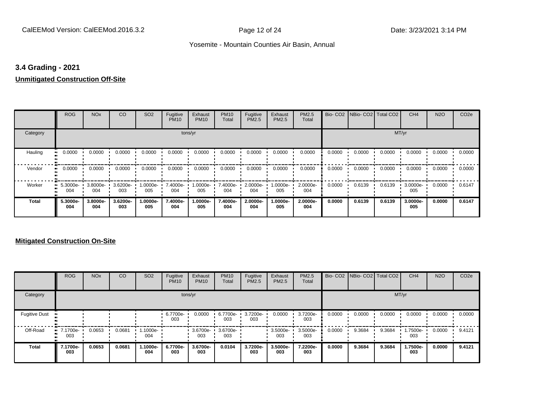#### **3.4 Grading - 2021**

#### **Unmitigated Construction Off-Site**

|              | <b>ROG</b>          | <b>NO<sub>x</sub></b> | CO              | SO <sub>2</sub> | Fugitive<br><b>PM10</b> | Exhaust<br><b>PM10</b> | <b>PM10</b><br>Total | Fugitive<br>PM2.5 | Exhaust<br>PM2.5 | PM2.5<br>Total  |        | Bio- CO2   NBio- CO2   Total CO2 |        | CH <sub>4</sub> | <b>N2O</b> | CO <sub>2e</sub> |
|--------------|---------------------|-----------------------|-----------------|-----------------|-------------------------|------------------------|----------------------|-------------------|------------------|-----------------|--------|----------------------------------|--------|-----------------|------------|------------------|
| Category     |                     |                       |                 |                 | tons/yr                 |                        |                      |                   |                  |                 |        |                                  | MT/yr  |                 |            |                  |
| Hauling      | 0.0000              | 0.0000                | 0.0000          | 0.0000          | 0.0000                  | 0.0000                 | 0.0000               | 0.0000            | 0.0000           | 0.0000          | 0.0000 | 0.0000                           | 0.0000 | 0.0000          | 0.0000     | 0.0000           |
| Vendor       | 0.0000<br>$\bullet$ | 0.0000                | 0.0000          | 0.0000          | 0.0000                  | 0.0000                 | 0.0000               | 0.0000            | 0.0000           | 0.0000          | 0.0000 | 0.0000                           | 0.0000 | 0.0000          | 0.0000     | 0.0000           |
| Worker       | 5.3000e-<br>004     | 3.8000e-<br>004       | 3.6200e-<br>003 | 1.0000e-<br>005 | 7.4000e-<br>004         | 1.0000e-<br>005        | 7.4000e-<br>004      | 2.0000e-<br>004   | -.0000e<br>005   | 2.0000e-<br>004 | 0.0000 | 0.6139                           | 0.6139 | 3.0000e-<br>005 | 0.0000     | 0.6147           |
| <b>Total</b> | 5.3000e-<br>004     | 3.8000e-<br>004       | 3.6200e-<br>003 | 1.0000e-<br>005 | 7.4000e-<br>004         | 1.0000e-<br>005        | 7.4000e-<br>004      | 2.0000e-<br>004   | -.0000e<br>005   | 2.0000e-<br>004 | 0.0000 | 0.6139                           | 0.6139 | 3.0000e-<br>005 | 0.0000     | 0.6147           |

|                      | <b>ROG</b>             | <b>NO<sub>x</sub></b> | CO     | SO <sub>2</sub> | Fugitive<br><b>PM10</b> | Exhaust<br><b>PM10</b> | <b>PM10</b><br>Total | Fugitive<br><b>PM2.5</b> | Exhaust<br><b>PM2.5</b> | PM2.5<br>Total  |        | Bio- CO2   NBio- CO2   Total CO2 |        | CH <sub>4</sub> | <b>N2O</b> | CO <sub>2e</sub> |
|----------------------|------------------------|-----------------------|--------|-----------------|-------------------------|------------------------|----------------------|--------------------------|-------------------------|-----------------|--------|----------------------------------|--------|-----------------|------------|------------------|
| Category             |                        |                       |        |                 |                         | tons/yr                |                      |                          |                         |                 |        |                                  | MT/yr  |                 |            |                  |
| <b>Fugitive Dust</b> |                        |                       |        |                 | 6.7700e-<br>003         | 0.0000                 | 6.7700e-<br>003      | 3.7200e-<br>003          | 0.0000                  | 3.7200e-<br>003 | 0.0000 | 0.0000                           | 0.0000 | 0.0000          | 0.0000     | 0.0000           |
| Off-Road             | $-7.1700e-$<br><br>003 | 0.0653                | 0.0681 | 1.1000e-<br>004 |                         | 3.6700e-<br>003        | 3.6700e-<br>003      |                          | 3.5000e-<br>003         | 3.5000e-<br>003 | 0.0000 | 9.3684                           | 9.3684 | 1.7500e-<br>003 | 0.0000     | 9.4121           |
| <b>Total</b>         | 7.1700e-<br>003        | 0.0653                | 0.0681 | 1.1000e-<br>004 | 6.7700e-<br>003         | 3.6700e-<br>003        | 0.0104               | 3.7200e-<br>003          | 3.5000e-<br>003         | 7.2200e-<br>003 | 0.0000 | 9.3684                           | 9.3684 | 1.7500e-<br>003 | 0.0000     | 9.4121           |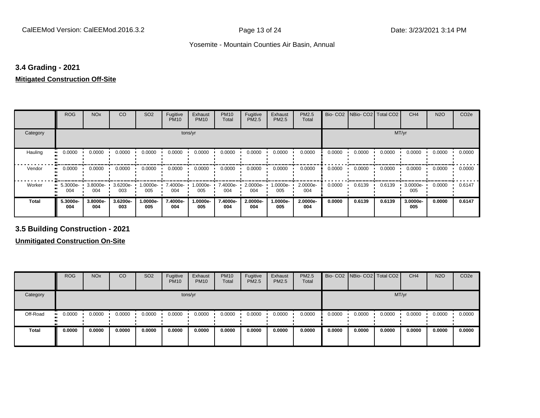#### **3.4 Grading - 2021**

#### **Mitigated Construction Off-Site**

|                     | <b>ROG</b>      | <b>NO<sub>x</sub></b> | CO                   | SO <sub>2</sub>    | Fugitive<br><b>PM10</b> | Exhaust<br><b>PM10</b> | <b>PM10</b><br>Total | Fugitive<br>PM2.5 | Exhaust<br>PM2.5 | PM2.5<br>Total  |        | Bio- CO2   NBio- CO2   Total CO2 |        | CH <sub>4</sub> | <b>N2O</b> | CO <sub>2e</sub> |
|---------------------|-----------------|-----------------------|----------------------|--------------------|-------------------------|------------------------|----------------------|-------------------|------------------|-----------------|--------|----------------------------------|--------|-----------------|------------|------------------|
| Category            |                 |                       |                      |                    | tons/yr                 |                        |                      |                   |                  |                 |        |                                  | MT/yr  |                 |            |                  |
| Hauling<br>ш        | 0.0000          | 0.0000                | 0.0000               | 0.0000             | 0.0000                  | 0.0000                 | 0.0000               | 0.0000            | 0.0000           | 0.0000          | 0.0000 | 0.0000                           | 0.0000 | 0.0000          | 0.0000     | 0.0000           |
| Vendor<br>$\bullet$ | 0.0000          | 0.0000                | 0.0000               | 0.0000             | 0.0000                  | 0.0000                 | 0.0000               | 0.0000            | 0.0000           | 0.0000          | 0.0000 | 0.0000                           | 0.0000 | 0.0000          | 0.0000     | 0.0000           |
| Worker              | 5.3000e-<br>004 | 3.8000e-<br>004       | $3.6200e - 1$<br>003 | $1.0000e -$<br>005 | 7.4000e-<br>004         | 1.0000e-<br>005        | 7.4000e-<br>004      | 2.0000e-<br>004   | -0000e-<br>005   | 2.0000e-<br>004 | 0.0000 | 0.6139                           | 0.6139 | 3.0000e-<br>005 | 0.0000     | 0.6147           |
| Total               | 5.3000e-<br>004 | 3.8000e-<br>004       | 3.6200e-<br>003      | 1.0000e-<br>005    | 7.4000e-<br>004         | 1.0000e-<br>005        | 7.4000e-<br>004      | 2.0000e-<br>004   | -.0000e<br>005   | 2.0000e-<br>004 | 0.0000 | 0.6139                           | 0.6139 | 3.0000e-<br>005 | 0.0000     | 0.6147           |

**3.5 Building Construction - 2021**

|              | <b>ROG</b>          | <b>NO<sub>x</sub></b> | CO     | SO <sub>2</sub> | Fugitive<br><b>PM10</b> | Exhaust<br><b>PM10</b> | <b>PM10</b><br>Total | Fugitive<br><b>PM2.5</b> | Exhaust<br>PM2.5 | <b>PM2.5</b><br>Total |        | Bio- CO2   NBio- CO2   Total CO2 |        | CH <sub>4</sub> | <b>N2O</b> | CO <sub>2e</sub> |
|--------------|---------------------|-----------------------|--------|-----------------|-------------------------|------------------------|----------------------|--------------------------|------------------|-----------------------|--------|----------------------------------|--------|-----------------|------------|------------------|
| Category     |                     |                       |        |                 |                         | tons/yr                |                      |                          |                  |                       |        |                                  |        | MT/yr           |            |                  |
| Off-Road     | 0.0000<br>$\bullet$ | 0.0000                | 0.0000 | 0.0000          | 0.0000                  | 0.0000                 | 0.0000               | 0.0000                   | 0.0000           | 0.0000                | 0.0000 | 0.0000                           | 0.0000 | 0.0000          | 0.0000     | 0.0000           |
| <b>Total</b> | 0.0000              | 0.0000                | 0.0000 | 0.0000          | 0.0000                  | 0.0000                 | 0.0000               | 0.0000                   | 0.0000           | 0.0000                | 0.0000 | 0.0000                           | 0.0000 | 0.0000          | 0.0000     | 0.0000           |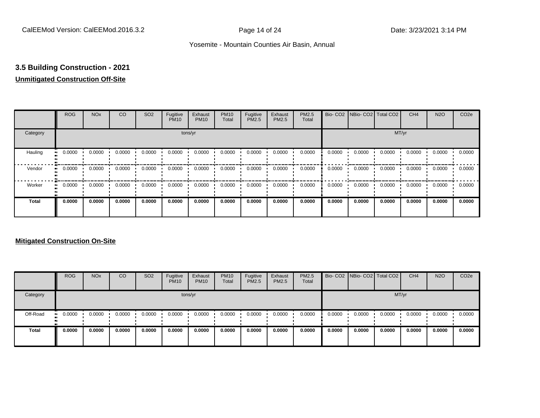# **3.5 Building Construction - 2021**

# **Unmitigated Construction Off-Site**

|              | <b>ROG</b>          | <b>NO<sub>x</sub></b> | CO     | SO <sub>2</sub> | Fugitive<br><b>PM10</b> | Exhaust<br><b>PM10</b> | <b>PM10</b><br>Total | Fugitive<br>PM2.5 | Exhaust<br>PM2.5 | PM2.5<br>Total |        | Bio- CO2   NBio- CO2   Total CO2 |        | CH <sub>4</sub> | <b>N2O</b> | CO <sub>2e</sub> |
|--------------|---------------------|-----------------------|--------|-----------------|-------------------------|------------------------|----------------------|-------------------|------------------|----------------|--------|----------------------------------|--------|-----------------|------------|------------------|
| Category     |                     |                       |        |                 |                         | tons/yr                |                      |                   |                  |                |        |                                  | MT/yr  |                 |            |                  |
| Hauling      | 0.0000<br>$\bullet$ | 0.0000                | 0.0000 | 0.0000          | 0.0000                  | 0.0000                 | 0.0000               | 0.0000            | 0.0000           | 0.0000         | 0.0000 | 0.0000                           | 0.0000 | 0.0000          | 0.0000     | 0.0000           |
| Vendor       | 0.0000<br>$\bullet$ | 0.0000                | 0.0000 | 0.0000          | 0.0000                  | 0.0000                 | 0.0000               | 0.0000            | 0.0000           | 0.0000         | 0.0000 | 0.0000                           | 0.0000 | 0.0000          | 0.0000     | 0.0000           |
| Worker       | 0.0000<br>$\bullet$ | 0.0000                | 0.0000 | 0.0000          | 0.0000                  | 0.0000                 | 0.0000               | 0.0000            | 0.0000           | 0.0000         | 0.0000 | 0.0000                           | 0.0000 | 0.0000          | 0.0000     | 0.0000           |
| <b>Total</b> | 0.0000              | 0.0000                | 0.0000 | 0.0000          | 0.0000                  | 0.0000                 | 0.0000               | 0.0000            | 0.0000           | 0.0000         | 0.0000 | 0.0000                           | 0.0000 | 0.0000          | 0.0000     | 0.0000           |

|              | <b>ROG</b>           | <b>NO<sub>x</sub></b> | CO     | SO <sub>2</sub> | Fugitive<br><b>PM10</b> | Exhaust<br><b>PM10</b> | <b>PM10</b><br>Total | Fugitive<br><b>PM2.5</b> | Exhaust<br><b>PM2.5</b> | <b>PM2.5</b><br>Total |        |        | Bio- CO2 NBio- CO2 Total CO2 | CH <sub>4</sub> | <b>N2O</b> | CO <sub>2e</sub> |
|--------------|----------------------|-----------------------|--------|-----------------|-------------------------|------------------------|----------------------|--------------------------|-------------------------|-----------------------|--------|--------|------------------------------|-----------------|------------|------------------|
| Category     |                      |                       |        |                 |                         | tons/yr                |                      |                          |                         |                       |        |        |                              | MT/yr           |            |                  |
| Off-Road     | 0.0000<br><b>ALC</b> | 0.0000                | 0.0000 | 0.0000          | 0.0000                  | 0.0000                 | 0.0000               | 0.0000                   | 0.0000                  | 0.0000                | 0.0000 | 0.0000 | 0.0000                       | 0.0000          | 0.0000     | 0.0000           |
| <b>Total</b> | 0.0000               | 0.0000                | 0.0000 | 0.0000          | 0.0000                  | 0.0000                 | 0.0000               | 0.0000                   | 0.0000                  | 0.0000                | 0.0000 | 0.0000 | 0.0000                       | 0.0000          | 0.0000     | 0.0000           |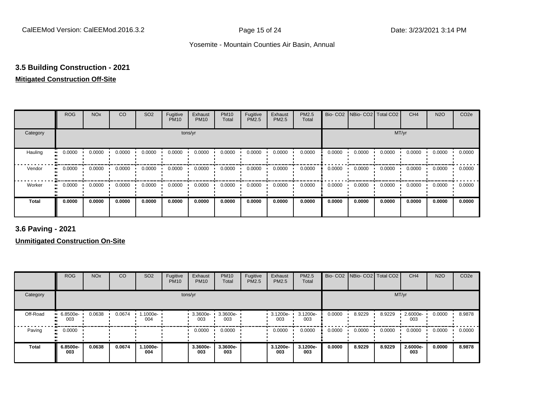# **3.5 Building Construction - 2021**

# **Mitigated Construction Off-Site**

|                     | <b>ROG</b> | <b>NO<sub>x</sub></b> | CO     | SO <sub>2</sub> | Fugitive<br><b>PM10</b> | Exhaust<br><b>PM10</b> | <b>PM10</b><br>Total | Fugitive<br>PM2.5 | Exhaust<br>PM2.5 | PM2.5<br>Total | Bio-CO <sub>2</sub> | NBio- CO2   Total CO2 |        | CH <sub>4</sub> | <b>N2O</b> | CO <sub>2e</sub> |
|---------------------|------------|-----------------------|--------|-----------------|-------------------------|------------------------|----------------------|-------------------|------------------|----------------|---------------------|-----------------------|--------|-----------------|------------|------------------|
| Category            |            |                       |        |                 | tons/yr                 |                        |                      |                   |                  |                |                     |                       | MT/yr  |                 |            |                  |
| Hauling             | 0.0000     | 0.0000                | 0.0000 | 0.0000          | 0.0000                  | 0.0000                 | 0.0000               | 0.0000            | 0.0000           | 0.0000         | 0.0000              | 0.0000                | 0.0000 | 0.0000          | 0.0000     | 0.0000           |
| Vendor<br>$\bullet$ | 0.0000     | 0.0000                | 0.0000 | 0.0000          | 0.0000                  | 0.0000                 | 0.0000               | 0.0000            | 0.0000           | 0.0000         | 0.0000              | 0.0000                | 0.0000 | 0.0000          | 0.0000     | 0.0000           |
| Worker<br>$\bullet$ | 0.0000     | 0.0000                | 0.0000 | 0.0000          | 0.0000                  | 0.0000                 | 0.0000               | 0.0000            | 0.0000           | 0.0000         | 0.0000              | 0.0000                | 0.0000 | 0.0000          | 0.0000     | 0.0000           |
| <b>Total</b>        | 0.0000     | 0.0000                | 0.0000 | 0.0000          | 0.0000                  | 0.0000                 | 0.0000               | 0.0000            | 0.0000           | 0.0000         | 0.0000              | 0.0000                | 0.0000 | 0.0000          | 0.0000     | 0.0000           |

**3.6 Paving - 2021**

|              | <b>ROG</b>         | <b>NO<sub>x</sub></b> | CO     | SO <sub>2</sub> | Fugitive<br><b>PM10</b> | Exhaust<br><b>PM10</b> | <b>PM10</b><br>Total | Fugitive<br><b>PM2.5</b> | Exhaust<br><b>PM2.5</b> | PM2.5<br>Total  |        | Bio- CO2 NBio- CO2 Total CO2 |        | CH <sub>4</sub> | <b>N2O</b> | CO <sub>2e</sub> |
|--------------|--------------------|-----------------------|--------|-----------------|-------------------------|------------------------|----------------------|--------------------------|-------------------------|-----------------|--------|------------------------------|--------|-----------------|------------|------------------|
| Category     |                    |                       |        |                 |                         | tons/yr                |                      |                          |                         |                 |        |                              |        | MT/yr           |            |                  |
| Off-Road     | $-6.8500e-$<br>003 | 0.0638                | 0.0674 | -1000e-<br>004  |                         | 3.3600e-<br>003        | 3.3600e-<br>003      |                          | $\cdot$ 3.1200e-<br>003 | 3.1200e-<br>003 | 0.0000 | 8.9229                       | 8.9229 | 2.6000e-<br>003 | 0.0000     | 8.9878           |
| Paving       | 0.0000<br>. .      |                       |        |                 |                         | 0.0000                 | 0.0000               |                          | 0.0000                  | 0.0000          | 0.0000 | 0.0000                       | 0.0000 | 0.0000          | 0.0000     | 0.0000           |
| <b>Total</b> | 6.8500e-<br>003    | 0.0638                | 0.0674 | 1.1000e-<br>004 |                         | 3.3600e-<br>003        | 3.3600e-<br>003      |                          | 3.1200e-<br>003         | 3.1200e-<br>003 | 0.0000 | 8.9229                       | 8.9229 | 2.6000e-<br>003 | 0.0000     | 8.9878           |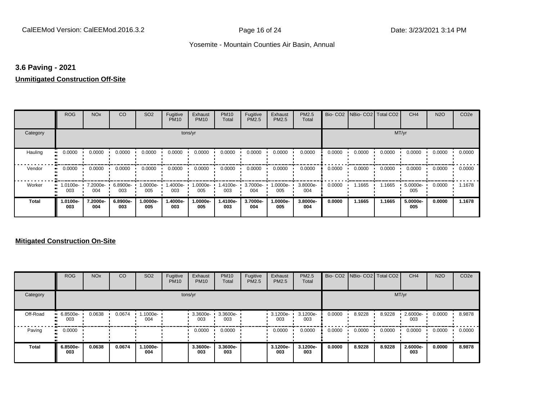### **3.6 Paving - 2021**

#### **Unmitigated Construction Off-Site**

|              | <b>ROG</b>                   | <b>NO<sub>x</sub></b> | CO              | SO <sub>2</sub> | Fugitive<br><b>PM10</b> | Exhaust<br><b>PM10</b> | <b>PM10</b><br>Total | Fugitive<br>PM2.5 | Exhaust<br>PM2.5 | PM2.5<br>Total  |        | Bio- CO2   NBio- CO2   Total CO2 |        | CH <sub>4</sub> | <b>N2O</b> | CO <sub>2e</sub> |
|--------------|------------------------------|-----------------------|-----------------|-----------------|-------------------------|------------------------|----------------------|-------------------|------------------|-----------------|--------|----------------------------------|--------|-----------------|------------|------------------|
| Category     |                              |                       |                 |                 | tons/yr                 |                        |                      |                   |                  |                 |        |                                  | MT/yr  |                 |            |                  |
| Hauling      | 0.0000                       | 0.0000                | 0.0000          | 0.0000          | 0.0000                  | 0.0000                 | 0.0000               | 0.0000            | 0.0000           | 0.0000          | 0.0000 | 0.0000                           | 0.0000 | 0.0000          | 0.0000     | 0.0000           |
| Vendor       | 0.0000<br>$\bullet$          | 0.0000                | 0.0000          | 0.0000          | 0.0000                  | 0.0000                 | 0.0000               | 0.0000            | 0.0000           | 0.0000          | 0.0000 | 0.0000                           | 0.0000 | 0.0000          | 0.0000     | 0.0000           |
| Worker       | 1.0100e-<br>$\bullet$<br>003 | 7.2000e-<br>004       | 6.8900e-<br>003 | 1.0000e-<br>005 | 1.4000e-<br>003         | 1.0000e-<br>005        | 1.4100e-<br>003      | 3.7000e-<br>004   | -.0000e<br>005   | 3.8000e-<br>004 | 0.0000 | 1.1665                           | 1.1665 | 5.0000e-<br>005 | 0.0000     | 1.1678           |
| <b>Total</b> | 1.0100e-<br>003              | 7.2000e-<br>004       | 6.8900e-<br>003 | 1.0000e-<br>005 | 1.4000e-<br>003         | 1.0000e-<br>005        | 1.4100e-<br>003      | 3.7000e-<br>004   | -.0000e<br>005   | 3.8000e-<br>004 | 0.0000 | 1.1665                           | 1.1665 | 5.0000e-<br>005 | 0.0000     | 1.1678           |

|              | <b>ROG</b>         | <b>NO<sub>x</sub></b> | CO     | SO <sub>2</sub> | Fugitive<br><b>PM10</b> | Exhaust<br><b>PM10</b> | <b>PM10</b><br>Total | Fugitive<br><b>PM2.5</b> | Exhaust<br><b>PM2.5</b> | PM2.5<br>Total  |        | Bio- CO2   NBio- CO2   Total CO2 |        | CH <sub>4</sub> | <b>N2O</b> | CO <sub>2e</sub> |
|--------------|--------------------|-----------------------|--------|-----------------|-------------------------|------------------------|----------------------|--------------------------|-------------------------|-----------------|--------|----------------------------------|--------|-----------------|------------|------------------|
| Category     |                    |                       |        |                 | tons/yr                 |                        |                      |                          |                         |                 |        |                                  |        | MT/yr           |            |                  |
| Off-Road     | $-6.8500e-$<br>003 | 0.0638                | 0.0674 | .1000e-<br>004  |                         | 3.3600e-<br>003        | 3.3600e-<br>003      |                          | 3.1200e-<br>003         | 3.1200e-<br>003 | 0.0000 | 8.9228                           | 8.9228 | 2.6000e-<br>003 | 0.0000     | 8.9878           |
| Paving       | 0.0000<br>ш.       |                       |        |                 |                         | 0.0000                 | 0.0000               |                          | 0.0000                  | 0.0000          | 0.0000 | 0.0000                           | 0.0000 | 0.0000          | 0.0000     | 0.0000           |
| <b>Total</b> | 6.8500e-<br>003    | 0.0638                | 0.0674 | 1.1000e-<br>004 |                         | 3.3600e-<br>003        | 3.3600e-<br>003      |                          | 3.1200e-<br>003         | 3.1200e-<br>003 | 0.0000 | 8.9228                           | 8.9228 | 2.6000e-<br>003 | 0.0000     | 8.9878           |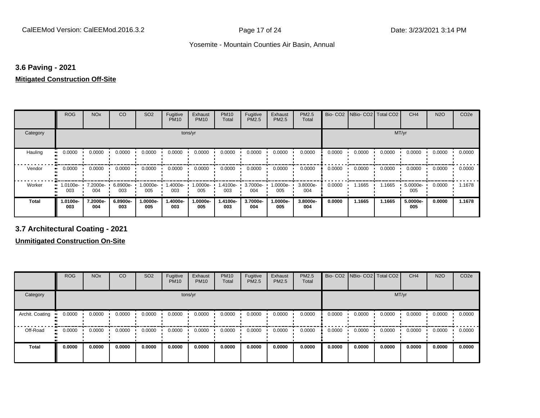# **3.6 Paving - 2021**

#### **Mitigated Construction Off-Site**

|                     | <b>ROG</b>      | <b>NO<sub>x</sub></b> | CO              | SO <sub>2</sub> | Fugitive<br><b>PM10</b> | Exhaust<br><b>PM10</b> | <b>PM10</b><br>Total | Fugitive<br>PM2.5 | Exhaust<br>PM2.5 | PM2.5<br>Total  |        | Bio- CO2   NBio- CO2   Total CO2 |        | CH <sub>4</sub> | <b>N2O</b> | CO <sub>2e</sub> |
|---------------------|-----------------|-----------------------|-----------------|-----------------|-------------------------|------------------------|----------------------|-------------------|------------------|-----------------|--------|----------------------------------|--------|-----------------|------------|------------------|
| Category            |                 |                       |                 |                 | tons/yr                 |                        |                      |                   |                  |                 |        |                                  | MT/yr  |                 |            |                  |
| Hauling<br>81       | 0.0000          | 0.0000                | 0.0000          | 0.0000          | 0.0000                  | 0.0000                 | 0.0000               | 0.0000            | 0.0000           | 0.0000          | 0.0000 | 0.0000                           | 0.0000 | 0.0000          | 0.0000     | 0.0000           |
| Vendor<br>$\bullet$ | 0.0000          | 0.0000                | 0.0000          | 0.0000          | 0.0000                  | 0.0000                 | 0.0000               | 0.0000            | 0.0000           | 0.0000          | 0.0000 | 0.0000                           | 0.0000 | 0.0000          | 0.0000     | 0.0000           |
| Worker<br>$\bullet$ | .0100e-<br>003  | 7.2000e-<br>004       | 6.8900e-<br>003 | 1.0000e-<br>005 | --1.4000e<br>003        | 1.0000e-<br>005        | 1.4100e-<br>003      | 3.7000e-<br>004   | .0000e-<br>005   | 3.8000e-<br>004 | 0.0000 | 1.1665                           | 1.1665 | 5.0000e-<br>005 | 0.0000     | 1.1678           |
| <b>Total</b>        | 1.0100e-<br>003 | 7.2000e-<br>004       | 6.8900e-<br>003 | 1.0000e-<br>005 | -.4000e<br>003          | 1.0000e-<br>005        | 1.4100e-<br>003      | 3.7000e-<br>004   | .0000e-<br>005   | 3.8000e-<br>004 | 0.0000 | 1.1665                           | 1.1665 | 5.0000e-<br>005 | 0.0000     | 1.1678           |

**3.7 Architectural Coating - 2021**

|                 | <b>ROG</b> | <b>NO<sub>x</sub></b> | CO     | SO <sub>2</sub> | Fugitive<br><b>PM10</b> | Exhaust<br><b>PM10</b> | <b>PM10</b><br>Total | Fugitive<br><b>PM2.5</b> | Exhaust<br><b>PM2.5</b> | <b>PM2.5</b><br>Total |        | Bio- CO2   NBio- CO2   Total CO2 |        | CH <sub>4</sub> | <b>N2O</b> | CO <sub>2e</sub> |
|-----------------|------------|-----------------------|--------|-----------------|-------------------------|------------------------|----------------------|--------------------------|-------------------------|-----------------------|--------|----------------------------------|--------|-----------------|------------|------------------|
| Category        |            |                       |        |                 |                         | tons/yr                |                      |                          |                         |                       |        |                                  | MT/yr  |                 |            |                  |
| Archit. Coating | 0.0000     | 0.0000                | 0.0000 | 0.0000          | 0.0000                  | 0.0000                 | 0.0000               | 0.0000                   | 0.0000                  | 0.0000                | 0.0000 | 0.0000                           | 0.0000 | 0.0000          | 0.0000     | 0.0000           |
| Off-Road        | 0.0000     | 0.0000                | 0.0000 | 0.0000          | 0.0000                  | 0.0000                 | 0.0000               | 0.0000                   | 0.0000                  | 0.0000                | 0.0000 | 0.0000                           | 0.0000 | 0.0000          | 0.0000     | 0.0000           |
| <b>Total</b>    | 0.0000     | 0.0000                | 0.0000 | 0.0000          | 0.0000                  | 0.0000                 | 0.0000               | 0.0000                   | 0.0000                  | 0.0000                | 0.0000 | 0.0000                           | 0.0000 | 0.0000          | 0.0000     | 0.0000           |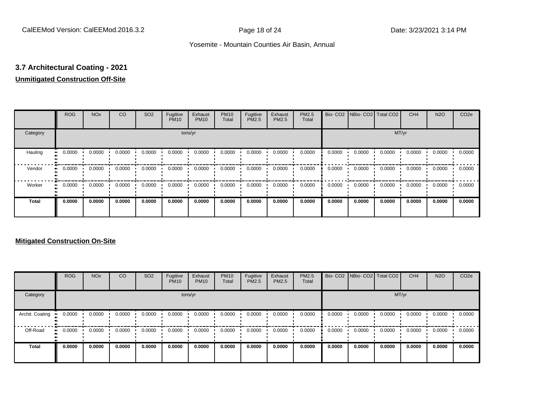# **3.7 Architectural Coating - 2021**

# **Unmitigated Construction Off-Site**

|              | <b>ROG</b>          | <b>NO<sub>x</sub></b> | CO     | SO <sub>2</sub> | Fugitive<br><b>PM10</b> | Exhaust<br><b>PM10</b> | <b>PM10</b><br>Total | Fugitive<br>PM2.5 | Exhaust<br>PM2.5 | PM2.5<br>Total | Bio-CO <sub>2</sub> | NBio- CO2   Total CO2 |        | CH <sub>4</sub> | <b>N2O</b> | CO <sub>2e</sub> |
|--------------|---------------------|-----------------------|--------|-----------------|-------------------------|------------------------|----------------------|-------------------|------------------|----------------|---------------------|-----------------------|--------|-----------------|------------|------------------|
| Category     |                     |                       |        |                 | tons/yr                 |                        |                      |                   |                  |                |                     |                       | MT/yr  |                 |            |                  |
| Hauling      | 0.0000              | 0.0000                | 0.0000 | 0.0000          | 0.0000                  | 0.0000                 | 0.0000               | 0.0000            | 0.0000           | 0.0000         | 0.0000              | 0.0000                | 0.0000 | 0.0000          | 0.0000     | 0.0000           |
| Vendor       | 0.0000<br>$\bullet$ | 0.0000                | 0.0000 | 0.0000          | 0.0000                  | 0.0000                 | 0.0000               | 0.0000            | 0.0000           | 0.0000         | 0.0000              | 0.0000                | 0.0000 | 0.0000          | 0.0000     | 0.0000           |
| Worker       | 0.0000<br>$\bullet$ | 0.0000                | 0.0000 | 0.0000          | 0.0000                  | 0.0000                 | 0.0000               | 0.0000            | 0.0000           | 0.0000         | 0.0000              | 0.0000                | 0.0000 | 0.0000          | 0.0000     | 0.0000           |
| <b>Total</b> | 0.0000              | 0.0000                | 0.0000 | 0.0000          | 0.0000                  | 0.0000                 | 0.0000               | 0.0000            | 0.0000           | 0.0000         | 0.0000              | 0.0000                | 0.0000 | 0.0000          | 0.0000     | 0.0000           |

|                 | <b>ROG</b>   | <b>NO<sub>x</sub></b> | <b>CO</b> | SO <sub>2</sub> | Fugitive<br><b>PM10</b> | Exhaust<br><b>PM10</b> | <b>PM10</b><br>Total | Fugitive<br>PM2.5 | Exhaust<br><b>PM2.5</b> | PM2.5<br>Total |        | Bio- CO2 NBio- CO2 Total CO2 |        | CH <sub>4</sub> | <b>N2O</b> | CO <sub>2e</sub> |
|-----------------|--------------|-----------------------|-----------|-----------------|-------------------------|------------------------|----------------------|-------------------|-------------------------|----------------|--------|------------------------------|--------|-----------------|------------|------------------|
| Category        |              |                       |           |                 |                         | tons/yr                |                      |                   |                         |                |        |                              | MT/yr  |                 |            |                  |
| Archit. Coating | 0.0000       | 0.0000                | 0.0000    | 0.0000          | 0.0000                  | 0.0000                 | 0.0000               | 0.0000            | 0.0000                  | 0.0000         | 0.0000 | 0.0000                       | 0.0000 | 0.0000          | 0.0000     | 0.0000           |
| Off-Road        | 0.0000<br>ш. | 0.0000                | 0.0000    | 0.0000          | 0.0000                  | 0.0000                 | 0.0000               | 0.0000            | 0.0000                  | 0.0000         | 0.0000 | 0.0000                       | 0.0000 | 0.0000          | 0.0000     | 0.0000           |
| Total           | 0.0000       | 0.0000                | 0.0000    | 0.0000          | 0.0000                  | 0.0000                 | 0.0000               | 0.0000            | 0.0000                  | 0.0000         | 0.0000 | 0.0000                       | 0.0000 | 0.0000          | 0.0000     | 0.0000           |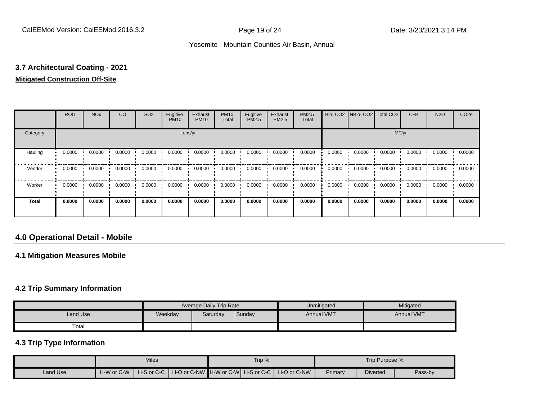# **3.7 Architectural Coating - 2021 Mitigated Construction Off-Site**

|              | <b>ROG</b> | <b>NO<sub>x</sub></b> | CO     | SO <sub>2</sub> | Fugitive<br><b>PM10</b> | Exhaust<br><b>PM10</b> | <b>PM10</b><br>Total | Fugitive<br><b>PM2.5</b> | Exhaust<br>PM2.5 | PM2.5<br>Total |        | Bio- CO2   NBio- CO2   Total CO2 |        | CH <sub>4</sub> | <b>N2O</b> | CO <sub>2e</sub> |
|--------------|------------|-----------------------|--------|-----------------|-------------------------|------------------------|----------------------|--------------------------|------------------|----------------|--------|----------------------------------|--------|-----------------|------------|------------------|
| Category     |            |                       |        |                 |                         | tons/yr                |                      |                          |                  |                |        |                                  |        | MT/yr           |            |                  |
| Hauling      | 0.0000     | 0.0000                | 0.0000 | 0.0000          | 0.0000                  | 0.0000                 | 0.0000               | 0.0000                   | 0.0000           | 0.0000         | 0.0000 | 0.0000                           | 0.0000 | 0.0000          | 0.0000     | 0.0000           |
| Vendor       | 0.0000     | 0.0000                | 0.0000 | 0.0000          | 0.0000                  | 0.0000                 | 0.0000               | 0.0000                   | 0.0000           | 0.0000         | 0.0000 | 0.0000                           | 0.0000 | 0.0000          | 0.0000     | 0.0000           |
| Worker       | 0.0000     | 0.0000                | 0.0000 | 0.0000          | 0.0000                  | 0.0000                 | 0.0000               | 0.0000                   | 0.0000           | 0.0000         | 0.0000 | 0.0000                           | 0.0000 | 0.0000          | 0.0000     | 0.0000           |
| <b>Total</b> | 0.0000     | 0.0000                | 0.0000 | 0.0000          | 0.0000                  | 0.0000                 | 0.0000               | 0.0000                   | 0.0000           | 0.0000         | 0.0000 | 0.0000                           | 0.0000 | 0.0000          | 0.0000     | 0.0000           |

# **4.0 Operational Detail - Mobile**

#### **4.1 Mitigation Measures Mobile**

#### **4.2 Trip Summary Information**

|          |         | Average Daily Trip Rate |        | Unmitigated       | Mitigated         |
|----------|---------|-------------------------|--------|-------------------|-------------------|
| Land Use | Weekday | Saturday                | Sunday | <b>Annual VMT</b> | <b>Annual VMT</b> |
| Total    |         |                         |        |                   |                   |

#### **4.3 Trip Type Information**

|          | <b>Miles</b> |  |  | Trip % |                                                                  | Trip Purpose % |                 |         |  |
|----------|--------------|--|--|--------|------------------------------------------------------------------|----------------|-----------------|---------|--|
| Land Use | H-W or C-W   |  |  |        | H-S or C-C ┃ H-O or C-NW ┃H-W or C-W┃ H-S or C-C ┃ H-O or C-NW │ | Primary        | <b>Diverted</b> | Pass-by |  |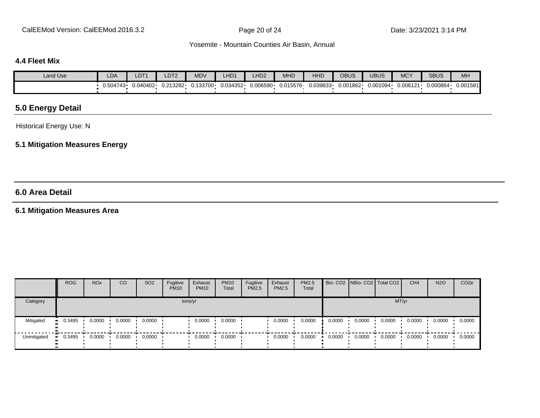CalEEMod Version: CalEEMod.2016.3.2 **Page 20 of 24** Page 20 of 24 Date: 3/23/2021 3:14 PM

#### Yosemite - Mountain Counties Air Basin, Annual

#### **4.4 Fleet Mix**

| <b>Land Use</b> | LDA      | LDT1     | LDT <sub>2</sub> | <b>MDV</b> | LHD1     | LHD <sub>2</sub> | MHD      | <b>HHD</b> | <b>OBUS</b> | <b>UBUS</b> | <b>MCY</b> | <b>SBUS</b> | MH       |
|-----------------|----------|----------|------------------|------------|----------|------------------|----------|------------|-------------|-------------|------------|-------------|----------|
|                 | 0.504743 | J.040402 | 0.213282         | 0.133700   | 0.034352 | 0.006590         | 0.015576 | 0.039833   | 0.001862    | 0.001094    | 0.006121   | 0.000864    | 0.001581 |

# **5.0 Energy Detail**

Historical Energy Use: N

### **5.1 Mitigation Measures Energy**

# **6.0 Area Detail**

# **6.1 Mitigation Measures Area**

|             | <b>ROG</b> | <b>NO<sub>x</sub></b> | CO     | SO <sub>2</sub> | Fugitive<br><b>PM10</b> | Exhaust<br><b>PM10</b> | <b>PM10</b><br>Total | Fugitive<br>PM2.5 | Exhaust<br><b>PM2.5</b> | PM2.5<br>Total |        | Bio- CO2 NBio- CO2   Total CO2 |        | CH <sub>4</sub> | <b>N2O</b> | CO <sub>2</sub> e |
|-------------|------------|-----------------------|--------|-----------------|-------------------------|------------------------|----------------------|-------------------|-------------------------|----------------|--------|--------------------------------|--------|-----------------|------------|-------------------|
| Category    |            |                       |        |                 |                         | tons/yr                |                      |                   |                         |                |        |                                | MT/yr  |                 |            |                   |
| Mitigated   | 0.3495     | 0.0000                | 0.0000 | 0.0000          |                         | 0.0000                 | 0.0000               |                   | 0.0000                  | 0.0000         | 0.0000 | 0.0000                         | 0.0000 | 0.0000          | 0.0000     | 0.0000            |
| Unmitigated | 0.3495     | 0.0000                | 0.0000 | 0.0000          |                         | 0.0000                 | 0.0000               |                   | 0.0000                  | 0.0000         | 0.0000 | 0.0000                         | 0.0000 | 0.0000          | 0.0000     | 0.0000            |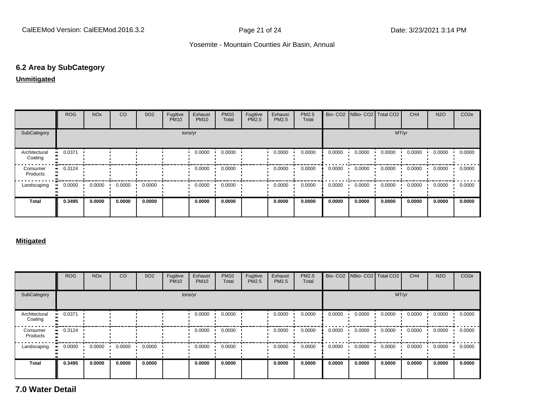## **6.2 Area by SubCategory**

#### **Unmitigated**

|                          | ROG                   | <b>NO<sub>x</sub></b> | CO     | SO <sub>2</sub> | Fugitive<br><b>PM10</b> | Exhaust<br><b>PM10</b> | <b>PM10</b><br>Total | Fugitive<br>PM2.5 | Exhaust<br><b>PM2.5</b> | <b>PM2.5</b><br>Total |        | Bio- CO2   NBio- CO2   Total CO2 |        | CH <sub>4</sub> | <b>N2O</b> | CO <sub>2</sub> e |
|--------------------------|-----------------------|-----------------------|--------|-----------------|-------------------------|------------------------|----------------------|-------------------|-------------------------|-----------------------|--------|----------------------------------|--------|-----------------|------------|-------------------|
| SubCategory              |                       |                       |        |                 |                         | tons/yr                |                      |                   |                         |                       |        |                                  | MT/yr  |                 |            |                   |
| Architectural<br>Coating | $-0.0371$             |                       |        |                 |                         | 0.0000                 | 0.0000               |                   | 0.0000                  | 0.0000                | 0.0000 | 0.0000                           | 0.0000 | 0.0000          | 0.0000     | 0.0000            |
| Consumer<br>Products     | $\blacksquare$ 0.3124 |                       |        |                 |                         | 0.0000                 | 0.0000               |                   | 0.0000                  | 0.0000                | 0.0000 | 0.0000                           | 0.0000 | 0.0000          | 0.0000     | 0.0000            |
| Landscaping              | 0.0000                | 0.0000                | 0.0000 | 0.0000          |                         | 0.0000                 | 0.0000               |                   | 0.0000                  | 0.0000                | 0.0000 | 0.0000                           | 0.0000 | 0.0000          | 0.0000     | 0.0000            |
| <b>Total</b>             | 0.3495                | 0.0000                | 0.0000 | 0.0000          |                         | 0.0000                 | 0.0000               |                   | 0.0000                  | 0.0000                | 0.0000 | 0.0000                           | 0.0000 | 0.0000          | 0.0000     | 0.0000            |

#### **Mitigated**

|                          | <b>ROG</b> | <b>NO<sub>x</sub></b> | CO     | SO <sub>2</sub> | Fugitive<br><b>PM10</b> | Exhaust<br><b>PM10</b> | <b>PM10</b><br>Total | Fugitive<br>PM2.5 | Exhaust<br><b>PM2.5</b> | PM2.5<br>Total |        |        | Bio- CO2   NBio- CO2   Total CO2 | CH <sub>4</sub> | <b>N2O</b> | CO <sub>2e</sub> |
|--------------------------|------------|-----------------------|--------|-----------------|-------------------------|------------------------|----------------------|-------------------|-------------------------|----------------|--------|--------|----------------------------------|-----------------|------------|------------------|
| SubCategory              |            |                       |        |                 |                         | tons/yr                |                      |                   |                         |                |        |        | MT/yr                            |                 |            |                  |
| Architectural<br>Coating | 0.0371     |                       |        |                 |                         | 0.0000                 | 0.0000               |                   | 0.0000                  | 0.0000         | 0.0000 | 0.0000 | 0.0000                           | 0.0000          | 0.0000     | 0.0000           |
| Consumer<br>Products     | 0.3124     |                       |        |                 |                         | 0.0000                 | 0.0000               |                   | 0.0000                  | 0.0000         | 0.0000 | 0.0000 | 0.0000                           | 0.0000          | 0.0000     | 0.0000           |
| Landscaping              | 0.0000     | 0.0000                | 0.0000 | 0.0000          |                         | 0.0000                 | 0.0000               |                   | 0.0000                  | 0.0000         | 0.0000 | 0.0000 | 0.0000                           | 0.0000          | 0.0000     | 0.0000           |
| Total                    | 0.3495     | 0.0000                | 0.0000 | 0.0000          |                         | 0.0000                 | 0.0000               |                   | 0.0000                  | 0.0000         | 0.0000 | 0.0000 | 0.0000                           | 0.0000          | 0.0000     | 0.0000           |

**7.0 Water Detail**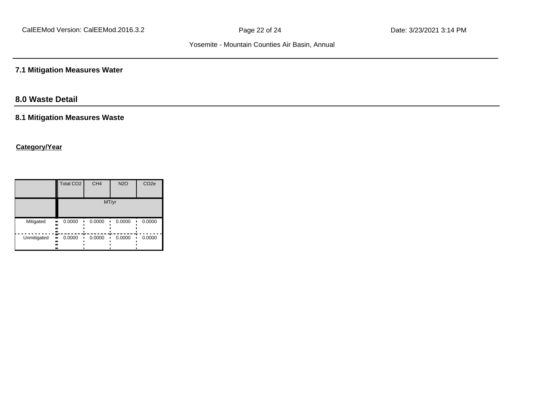# **7.1 Mitigation Measures Water**

# **8.0 Waste Detail**

#### **8.1 Mitigation Measures Waste**

### **Category/Year**

|                         | Total CO <sub>2</sub>   | CH <sub>4</sub> | <b>N2O</b> | CO <sub>2e</sub> |
|-------------------------|-------------------------|-----------------|------------|------------------|
|                         |                         |                 | MT/yr      |                  |
| Mitigated<br>.,<br><br> | 0.0000<br>              | 0.0000          | 0.0000     | 0.0000           |
| Unmitigated<br><br>ш    | 0.0000<br>$\bullet$<br> | 0.0000<br>٠     | 0.0000     | 0.0000           |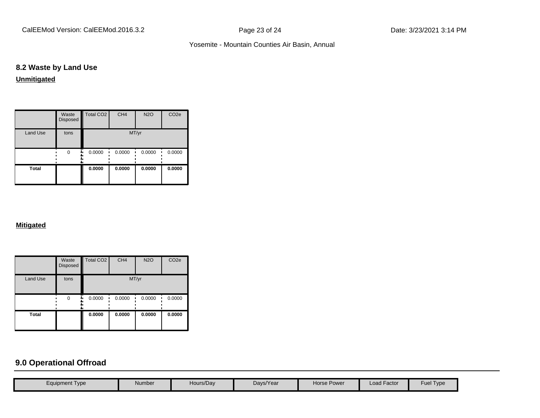# **8.2 Waste by Land Use**

**Unmitigated**

|                 | Waste<br>Disposed | Total CO <sub>2</sub> | CH <sub>4</sub> | <b>N2O</b> | CO <sub>2e</sub> |
|-----------------|-------------------|-----------------------|-----------------|------------|------------------|
| <b>Land Use</b> | tons              |                       |                 | MT/yr      |                  |
|                 | $\Omega$          | 0.0000                | 0.0000          | 0.0000     | 0.0000           |
| <b>Total</b>    |                   | 0.0000                | 0.0000          | 0.0000     | 0.0000           |

#### **Mitigated**

|                 | Waste<br>Disposed | Total CO <sub>2</sub> | CH <sub>4</sub> | <b>N2O</b> | CO <sub>2e</sub> |
|-----------------|-------------------|-----------------------|-----------------|------------|------------------|
| <b>Land Use</b> | tons              |                       |                 | MT/yr      |                  |
|                 | $\Omega$          | 0.0000                | 0.0000          | 0.0000     | 0.0000           |
| <b>Total</b>    |                   | 0.0000                | 0.0000          | 0.0000     | 0.0000           |

# **9.0 Operational Offroad**

| <b>Load Factor</b><br>Hours/Day<br><b>Horse Power</b><br>Days/Year<br>Number<br>Equipment Type |  |  |  |                  |
|------------------------------------------------------------------------------------------------|--|--|--|------------------|
|                                                                                                |  |  |  | <b>Fuel Type</b> |